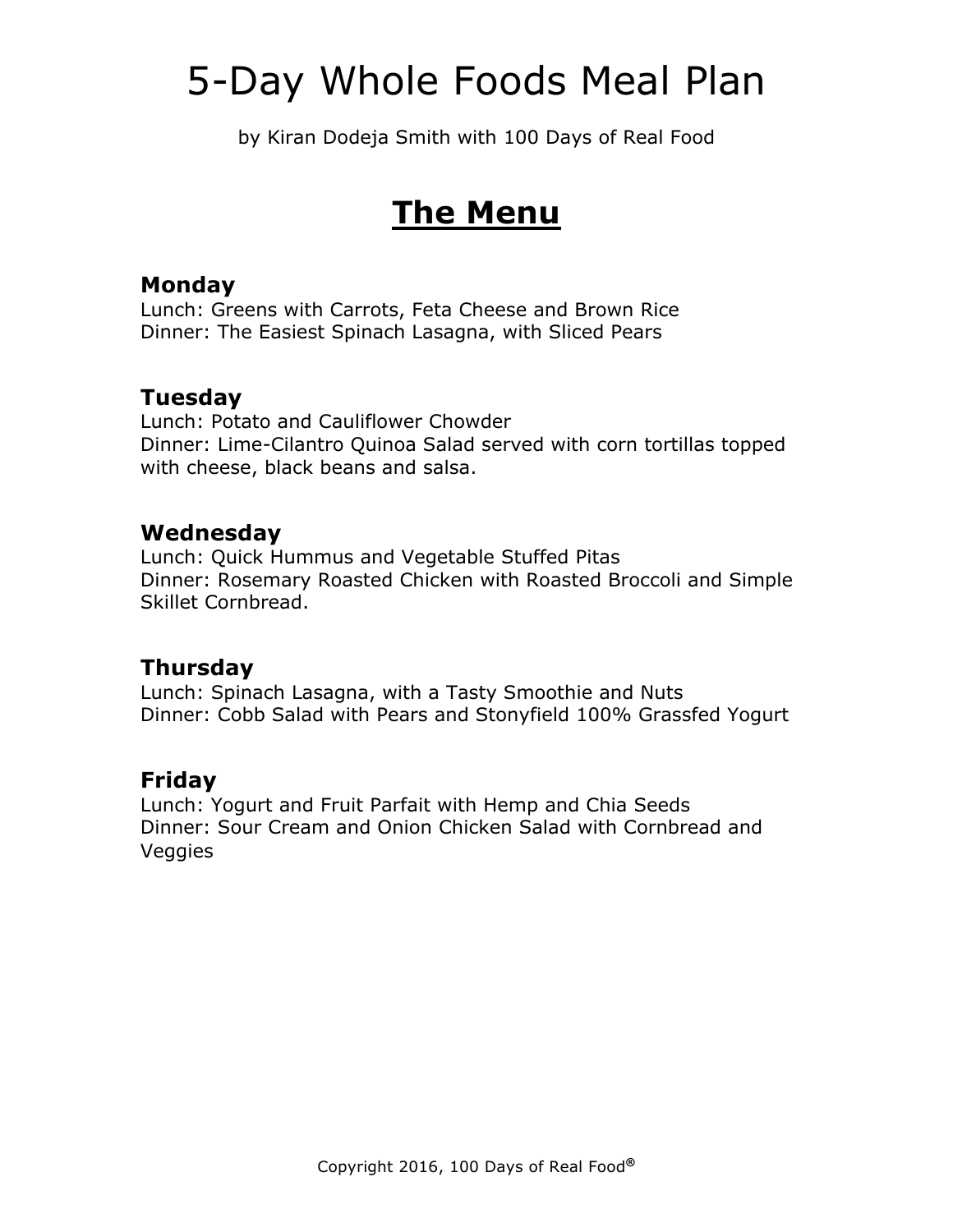by Kiran Dodeja Smith with 100 Days of Real Food

## **The Menu**

### **Monday**

Lunch: Greens with Carrots, Feta Cheese and Brown Rice Dinner: The Easiest Spinach Lasagna, with Sliced Pears

### **Tuesday**

Lunch: Potato and Cauliflower Chowder Dinner: Lime-Cilantro Quinoa Salad served with corn tortillas topped with cheese, black beans and salsa.

### **Wednesday**

Lunch: Quick Hummus and Vegetable Stuffed Pitas Dinner: Rosemary Roasted Chicken with Roasted Broccoli and Simple Skillet Cornbread.

### **Thursday**

Lunch: Spinach Lasagna, with a Tasty Smoothie and Nuts Dinner: Cobb Salad with Pears and Stonyfield 100% Grassfed Yogurt

### **Friday**

Lunch: Yogurt and Fruit Parfait with Hemp and Chia Seeds Dinner: Sour Cream and Onion Chicken Salad with Cornbread and Veggies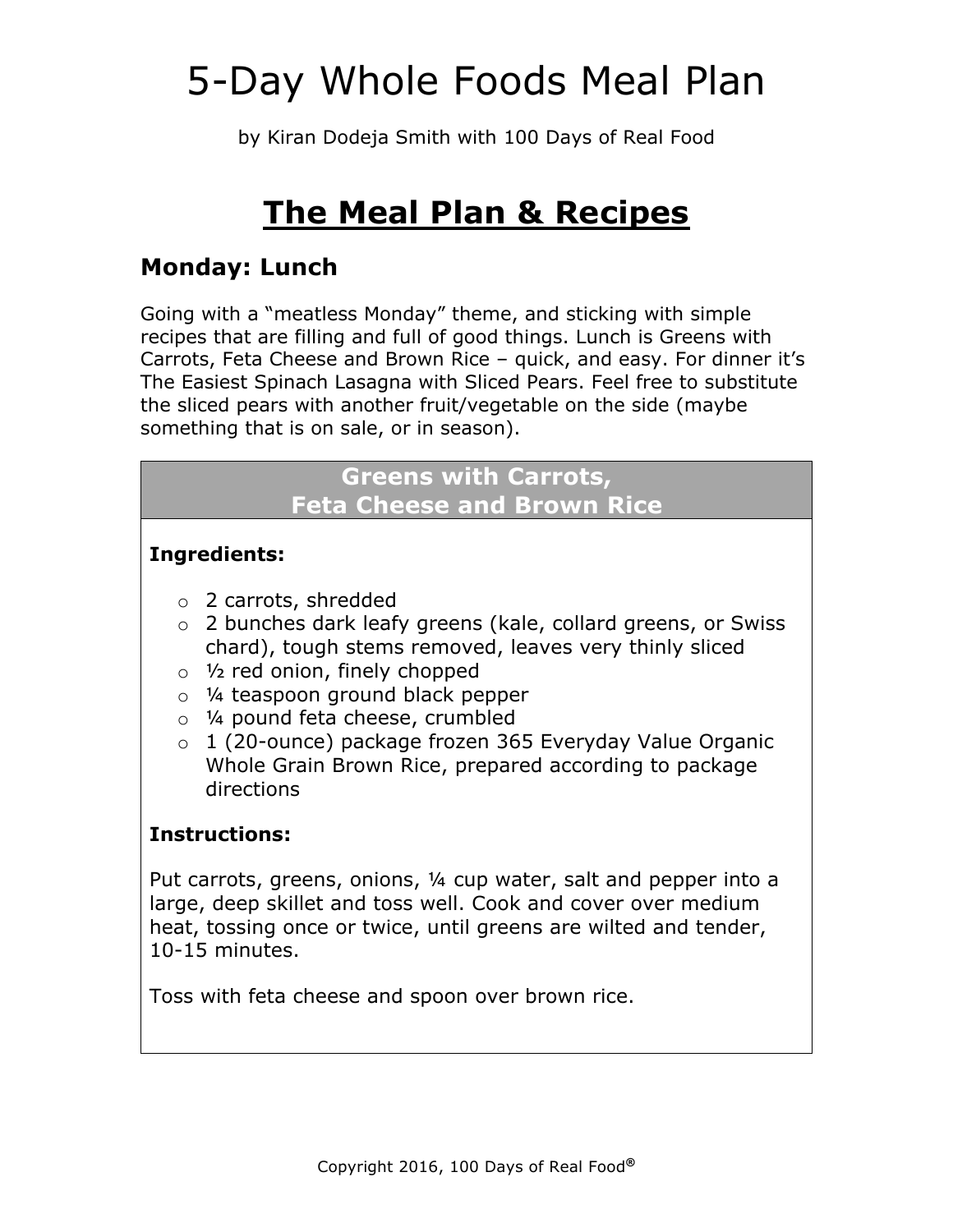by Kiran Dodeja Smith with 100 Days of Real Food

## **The Meal Plan & Recipes**

## **Monday: Lunch**

Going with a "meatless Monday" theme, and sticking with simple recipes that are filling and full of good things. Lunch is Greens with Carrots, Feta Cheese and Brown Rice – quick, and easy. For dinner it's The Easiest Spinach Lasagna with Sliced Pears. Feel free to substitute the sliced pears with another fruit/vegetable on the side (maybe something that is on sale, or in season).

### **Greens with Carrots, Feta Cheese and Brown Rice**

### **Ingredients:**

- o 2 carrots, shredded
- o 2 bunches dark leafy greens (kale, collard greens, or Swiss chard), tough stems removed, leaves very thinly sliced
- $\circ$  1/<sub>2</sub> red onion, finely chopped
- o ¼ teaspoon ground black pepper
- o ¼ pound feta cheese, crumbled
- o 1 (20-ounce) package frozen 365 Everyday Value Organic Whole Grain Brown Rice, prepared according to package directions

### **Instructions:**

Put carrots, greens, onions, ¼ cup water, salt and pepper into a large, deep skillet and toss well. Cook and cover over medium heat, tossing once or twice, until greens are wilted and tender, 10-15 minutes.

Toss with feta cheese and spoon over brown rice.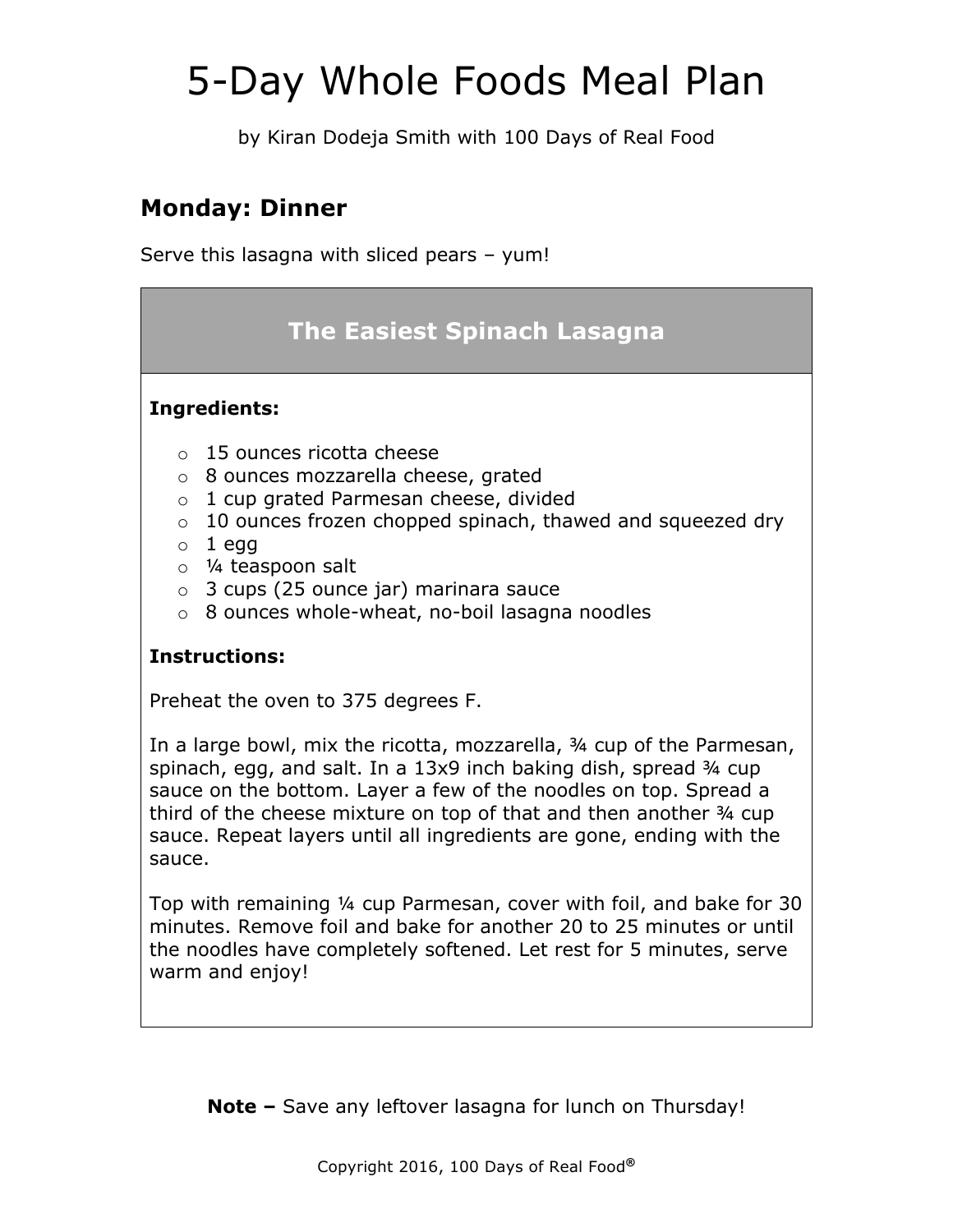by Kiran Dodeja Smith with 100 Days of Real Food

## **Monday: Dinner**

Serve this lasagna with sliced pears – yum!

## **The Easiest Spinach Lasagna**

#### **Ingredients:**

- o 15 ounces ricotta cheese
- o 8 ounces mozzarella cheese, grated
- o 1 cup grated Parmesan cheese, divided
- o 10 ounces frozen chopped spinach, thawed and squeezed dry
- $\circ$  1 egg
- o ¼ teaspoon salt
- o 3 cups (25 ounce jar) marinara sauce
- o 8 ounces whole-wheat, no-boil lasagna noodles

#### **Instructions:**

Preheat the oven to 375 degrees F.

In a large bowl, mix the ricotta, mozzarella, ¾ cup of the Parmesan, spinach, egg, and salt. In a 13x9 inch baking dish, spread 34 cup sauce on the bottom. Layer a few of the noodles on top. Spread a third of the cheese mixture on top of that and then another ¾ cup sauce. Repeat layers until all ingredients are gone, ending with the sauce.

Top with remaining ¼ cup Parmesan, cover with foil, and bake for 30 minutes. Remove foil and bake for another 20 to 25 minutes or until the noodles have completely softened. Let rest for 5 minutes, serve warm and enjoy!

**Note –** Save any leftover lasagna for lunch on Thursday!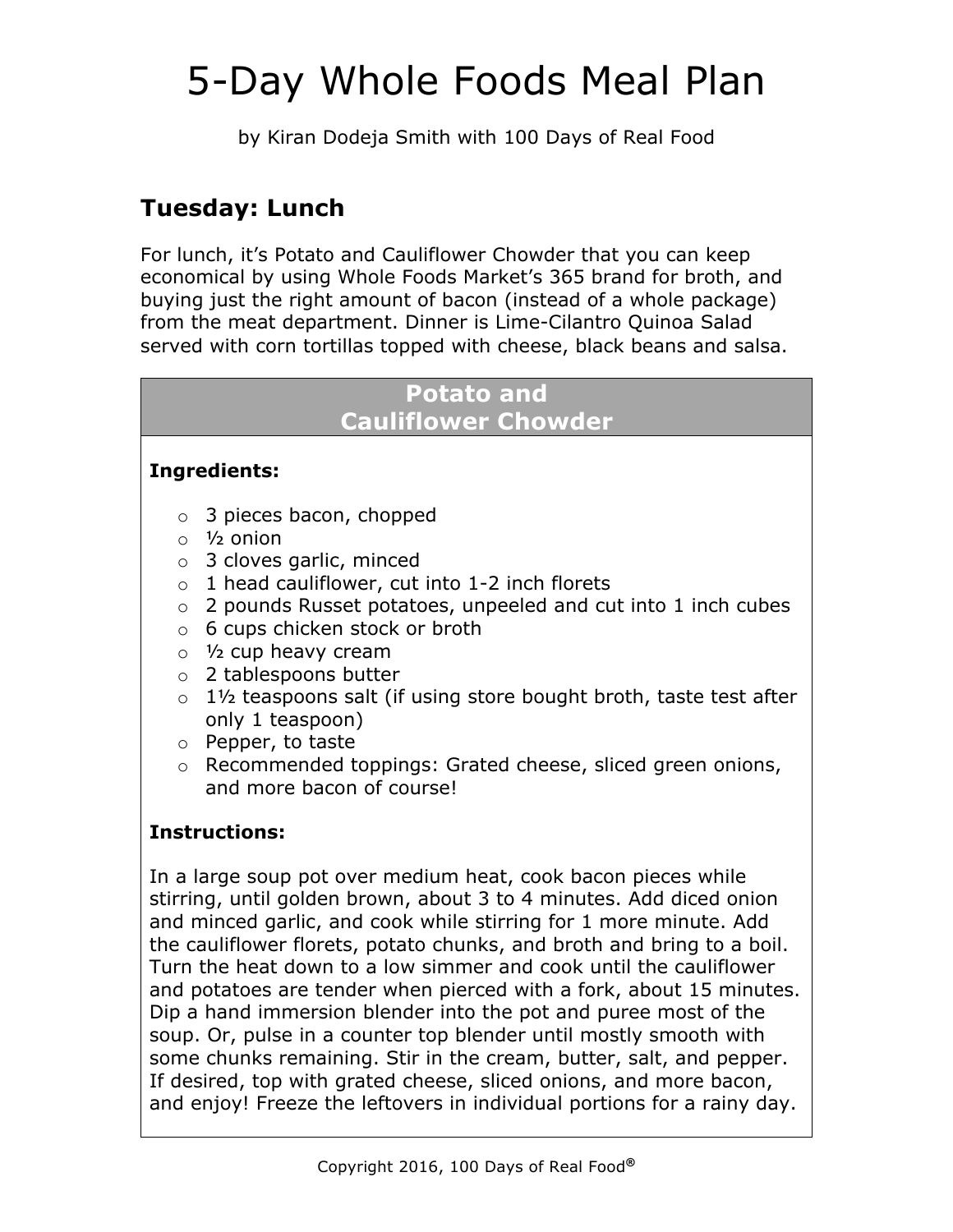by Kiran Dodeja Smith with 100 Days of Real Food

## **Tuesday: Lunch**

For lunch, it's Potato and Cauliflower Chowder that you can keep economical by using Whole Foods Market's 365 brand for broth, and buying just the right amount of bacon (instead of a whole package) from the meat department. Dinner is Lime-Cilantro Quinoa Salad served with corn tortillas topped with cheese, black beans and salsa.

## **Potato and**

### **Cauliflower Chowder**

### **Ingredients:**

- o 3 pieces bacon, chopped
- $\circ$  1/<sub>2</sub> onion
- o 3 cloves garlic, minced
- $\circ$  1 head cauliflower, cut into 1-2 inch florets
- o 2 pounds Russet potatoes, unpeeled and cut into 1 inch cubes
- o 6 cups chicken stock or broth
- o ½ cup heavy cream
- o 2 tablespoons butter
- $\circ$  1<sup>1</sup>/<sub>2</sub> teaspoons salt (if using store bought broth, taste test after only 1 teaspoon)
- o Pepper, to taste
- o Recommended toppings: Grated cheese, sliced green onions, and more bacon of course!

### **Instructions:**

In a large soup pot over medium heat, cook bacon pieces while stirring, until golden brown, about 3 to 4 minutes. Add diced onion and minced garlic, and cook while stirring for 1 more minute. Add the cauliflower florets, potato chunks, and broth and bring to a boil. Turn the heat down to a low simmer and cook until the cauliflower and potatoes are tender when pierced with a fork, about 15 minutes. Dip a hand immersion blender into the pot and puree most of the soup. Or, pulse in a counter top blender until mostly smooth with some chunks remaining. Stir in the cream, butter, salt, and pepper. If desired, top with grated cheese, sliced onions, and more bacon, and enjoy! Freeze the leftovers in individual portions for a rainy day.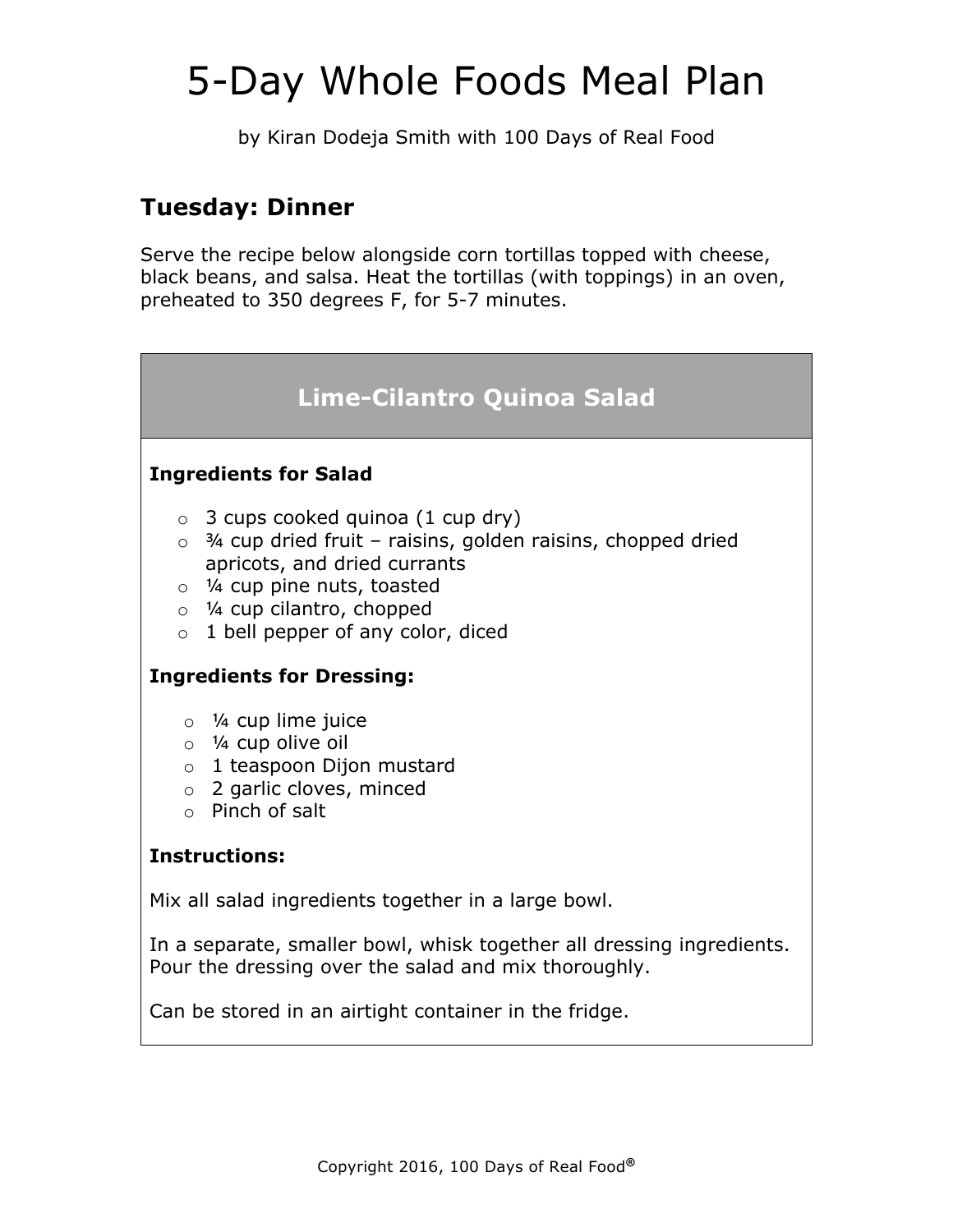by Kiran Dodeja Smith with 100 Days of Real Food

## **Tuesday: Dinner**

Serve the recipe below alongside corn tortillas topped with cheese, black beans, and salsa. Heat the tortillas (with toppings) in an oven, preheated to 350 degrees F, for 5-7 minutes.

## **Lime-Cilantro Quinoa Salad**

#### **Ingredients for Salad**

- $\circ$  3 cups cooked quinoa (1 cup dry)
- $\circ$  3/4 cup dried fruit raisins, golden raisins, chopped dried apricots, and dried currants
- o ¼ cup pine nuts, toasted
- o ¼ cup cilantro, chopped
- $\circ$  1 bell pepper of any color, diced

#### **Ingredients for Dressing:**

- $\circ$  1/4 cup lime juice
- o ¼ cup olive oil
- o 1 teaspoon Dijon mustard
- o 2 garlic cloves, minced
- o Pinch of salt

#### **Instructions:**

Mix all salad ingredients together in a large bowl.

In a separate, smaller bowl, whisk together all dressing ingredients. Pour the dressing over the salad and mix thoroughly.

Can be stored in an airtight container in the fridge.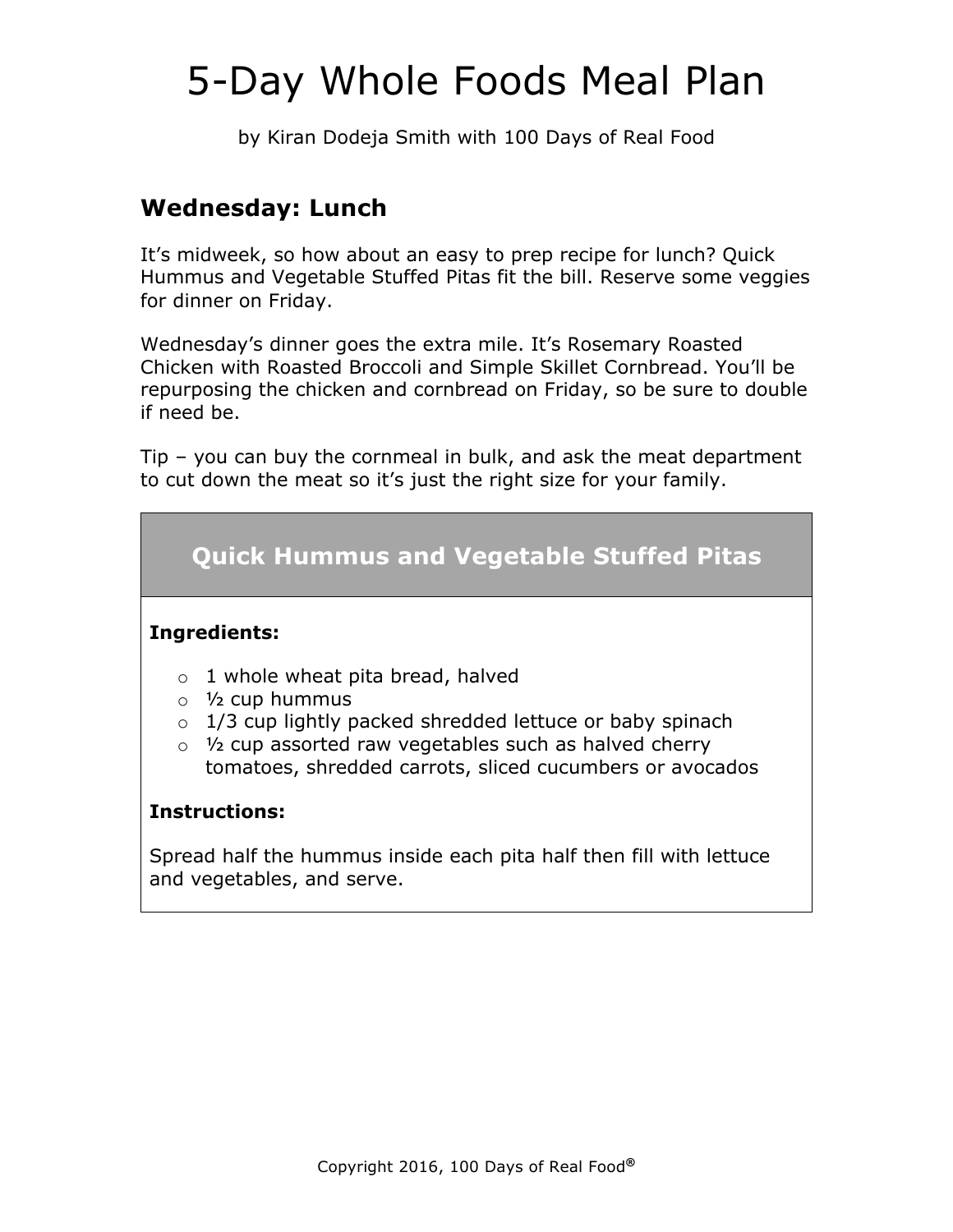by Kiran Dodeja Smith with 100 Days of Real Food

## **Wednesday: Lunch**

It's midweek, so how about an easy to prep recipe for lunch? Quick Hummus and Vegetable Stuffed Pitas fit the bill. Reserve some veggies for dinner on Friday.

Wednesday's dinner goes the extra mile. It's Rosemary Roasted Chicken with Roasted Broccoli and Simple Skillet Cornbread. You'll be repurposing the chicken and cornbread on Friday, so be sure to double if need be.

Tip – you can buy the cornmeal in bulk, and ask the meat department to cut down the meat so it's just the right size for your family.

## **Quick Hummus and Vegetable Stuffed Pitas**

#### **Ingredients:**

- $\circ$  1 whole wheat pita bread, halved
- $\circ$  1/<sub>2</sub> cup hummus
- $\circ$  1/3 cup lightly packed shredded lettuce or baby spinach
- $\circ$  1/2 cup assorted raw vegetables such as halved cherry tomatoes, shredded carrots, sliced cucumbers or avocados

#### **Instructions:**

Spread half the hummus inside each pita half then fill with lettuce and vegetables, and serve.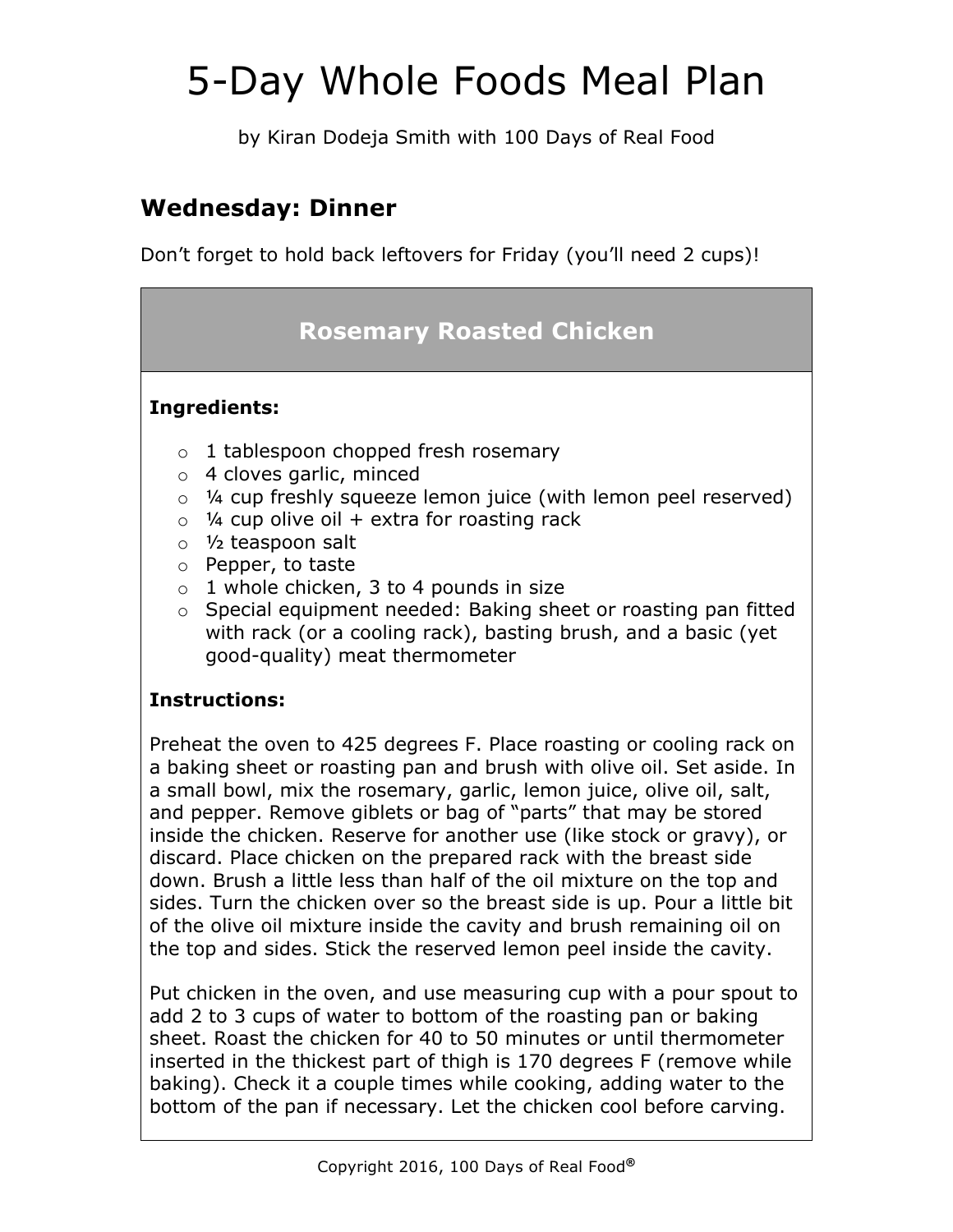by Kiran Dodeja Smith with 100 Days of Real Food

## **Wednesday: Dinner**

Don't forget to hold back leftovers for Friday (you'll need 2 cups)!

## **Rosemary Roasted Chicken**

### **Ingredients:**

- o 1 tablespoon chopped fresh rosemary
- o 4 cloves garlic, minced
- o ¼ cup freshly squeeze lemon juice (with lemon peel reserved)
- $\circ$  ¼ cup olive oil + extra for roasting rack
- o ½ teaspoon salt
- o Pepper, to taste
- $\circ$  1 whole chicken, 3 to 4 pounds in size
- o Special equipment needed: Baking sheet or roasting pan fitted with rack (or a cooling rack), basting brush, and a basic (yet good-quality) meat thermometer

### **Instructions:**

Preheat the oven to 425 degrees F. Place roasting or cooling rack on a baking sheet or roasting pan and brush with olive oil. Set aside. In a small bowl, mix the rosemary, garlic, lemon juice, olive oil, salt, and pepper. Remove giblets or bag of "parts" that may be stored inside the chicken. Reserve for another use (like stock or gravy), or discard. Place chicken on the prepared rack with the breast side down. Brush a little less than half of the oil mixture on the top and sides. Turn the chicken over so the breast side is up. Pour a little bit of the olive oil mixture inside the cavity and brush remaining oil on the top and sides. Stick the reserved lemon peel inside the cavity.

Put chicken in the oven, and use measuring cup with a pour spout to add 2 to 3 cups of water to bottom of the roasting pan or baking sheet. Roast the chicken for 40 to 50 minutes or until thermometer inserted in the thickest part of thigh is 170 degrees F (remove while baking). Check it a couple times while cooking, adding water to the bottom of the pan if necessary. Let the chicken cool before carving.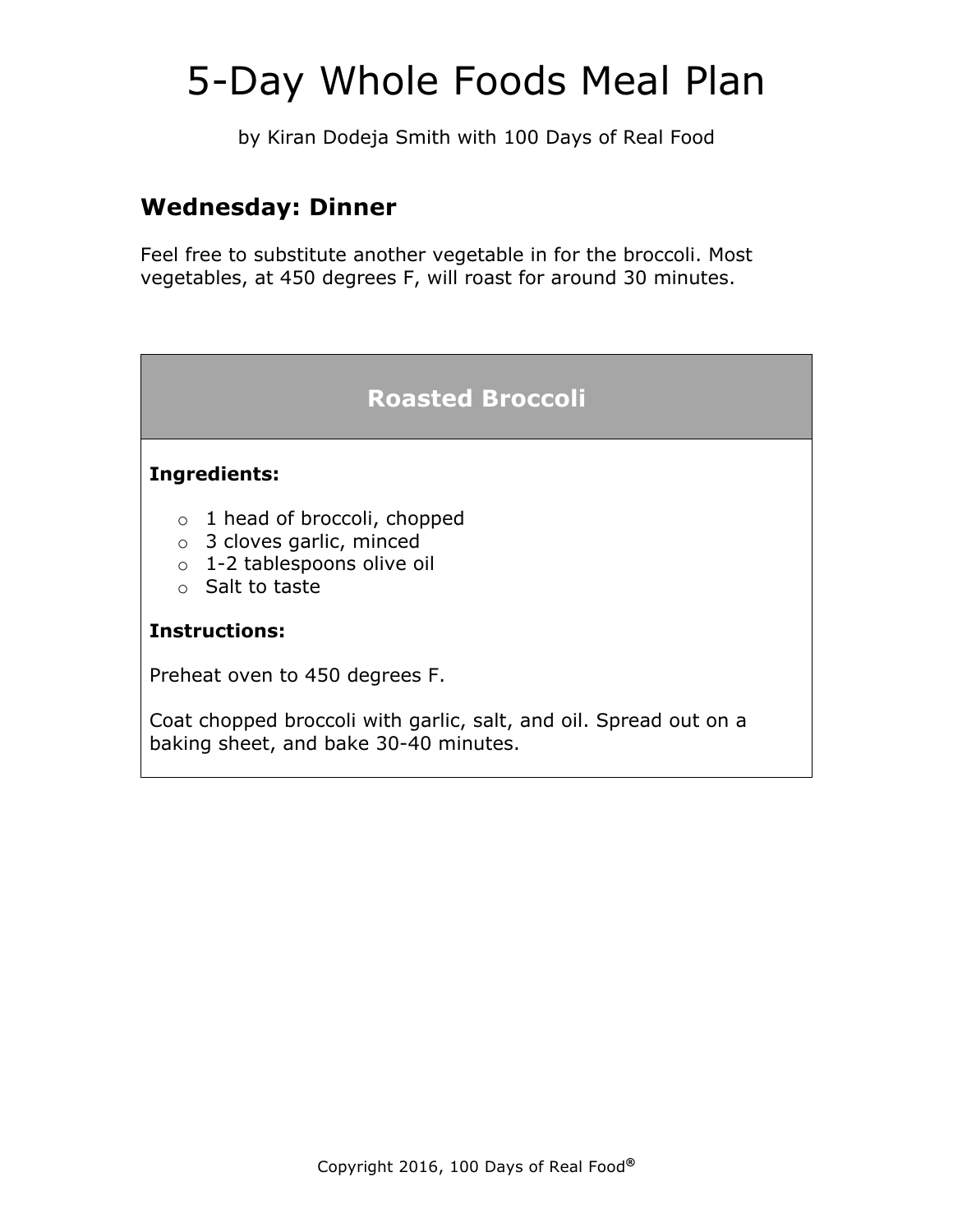by Kiran Dodeja Smith with 100 Days of Real Food

### **Wednesday: Dinner**

Feel free to substitute another vegetable in for the broccoli. Most vegetables, at 450 degrees F, will roast for around 30 minutes.

### **Roasted Broccoli**

#### **Ingredients:**

- o 1 head of broccoli, chopped
- o 3 cloves garlic, minced
- o 1-2 tablespoons olive oil
- o Salt to taste

#### **Instructions:**

Preheat oven to 450 degrees F.

Coat chopped broccoli with garlic, salt, and oil. Spread out on a baking sheet, and bake 30-40 minutes.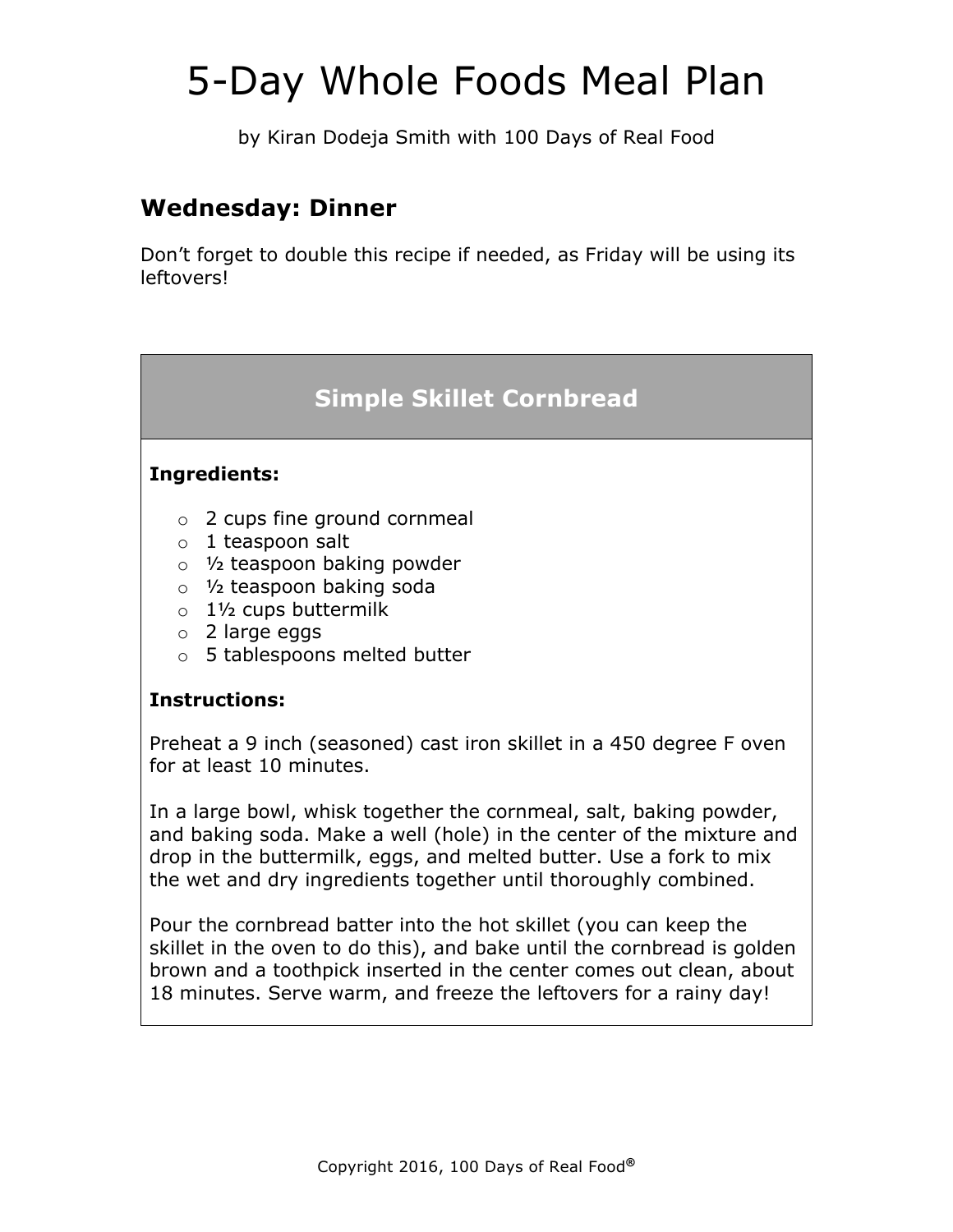by Kiran Dodeja Smith with 100 Days of Real Food

## **Wednesday: Dinner**

Don't forget to double this recipe if needed, as Friday will be using its leftovers!

## **Simple Skillet Cornbread**

#### **Ingredients:**

- o 2 cups fine ground cornmeal
- o 1 teaspoon salt
- o ½ teaspoon baking powder
- o ½ teaspoon baking soda
- o 1½ cups buttermilk
- o 2 large eggs
- o 5 tablespoons melted butter

#### **Instructions:**

Preheat a 9 inch (seasoned) cast iron skillet in a 450 degree F oven for at least 10 minutes.

In a large bowl, whisk together the cornmeal, salt, baking powder, and baking soda. Make a well (hole) in the center of the mixture and drop in the buttermilk, eggs, and melted butter. Use a fork to mix the wet and dry ingredients together until thoroughly combined.

Pour the cornbread batter into the hot skillet (you can keep the skillet in the oven to do this), and bake until the cornbread is golden brown and a toothpick inserted in the center comes out clean, about 18 minutes. Serve warm, and freeze the leftovers for a rainy day!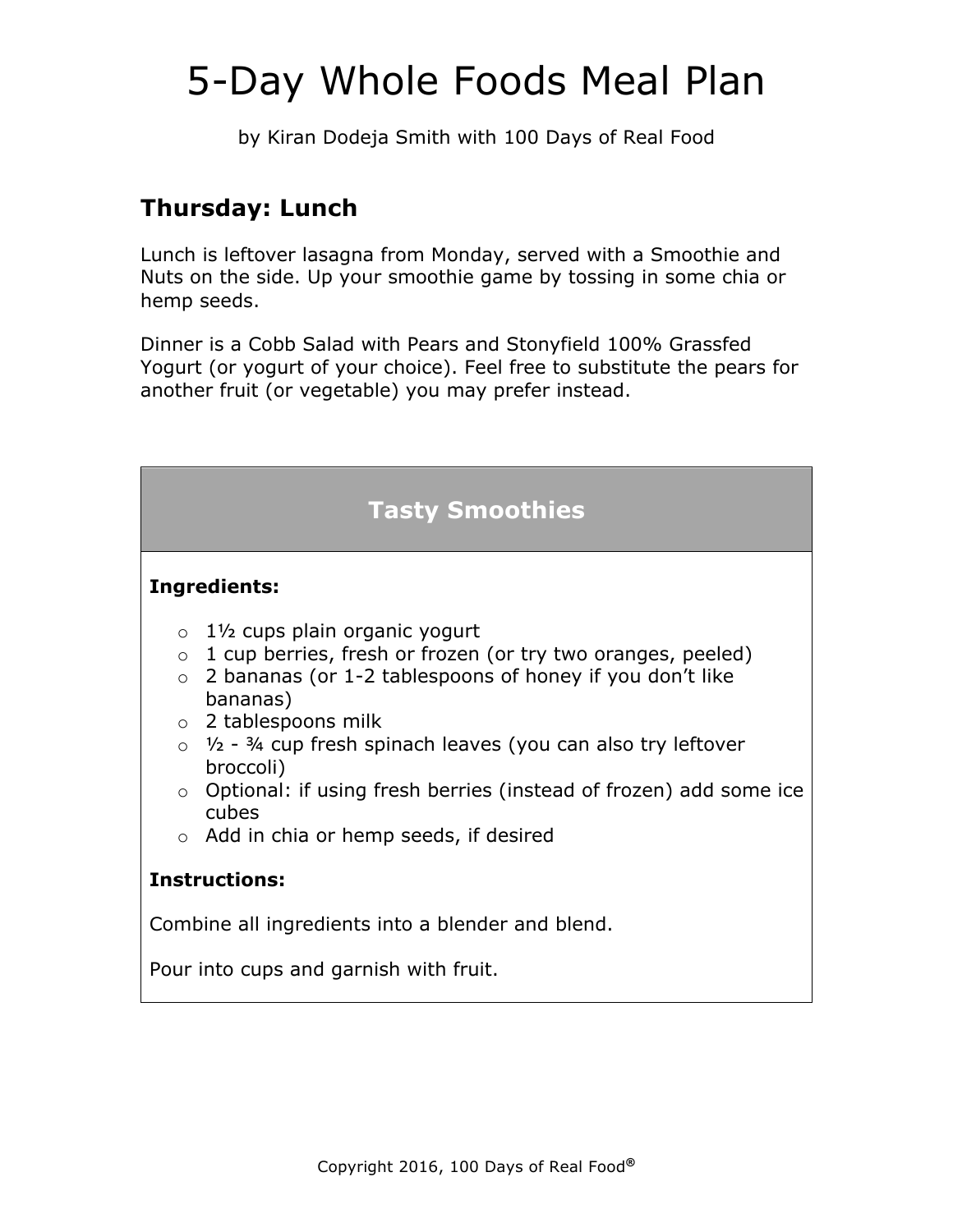by Kiran Dodeja Smith with 100 Days of Real Food

## **Thursday: Lunch**

Lunch is leftover lasagna from Monday, served with a Smoothie and Nuts on the side. Up your smoothie game by tossing in some chia or hemp seeds.

Dinner is a Cobb Salad with Pears and Stonyfield 100% Grassfed Yogurt (or yogurt of your choice). Feel free to substitute the pears for another fruit (or vegetable) you may prefer instead.

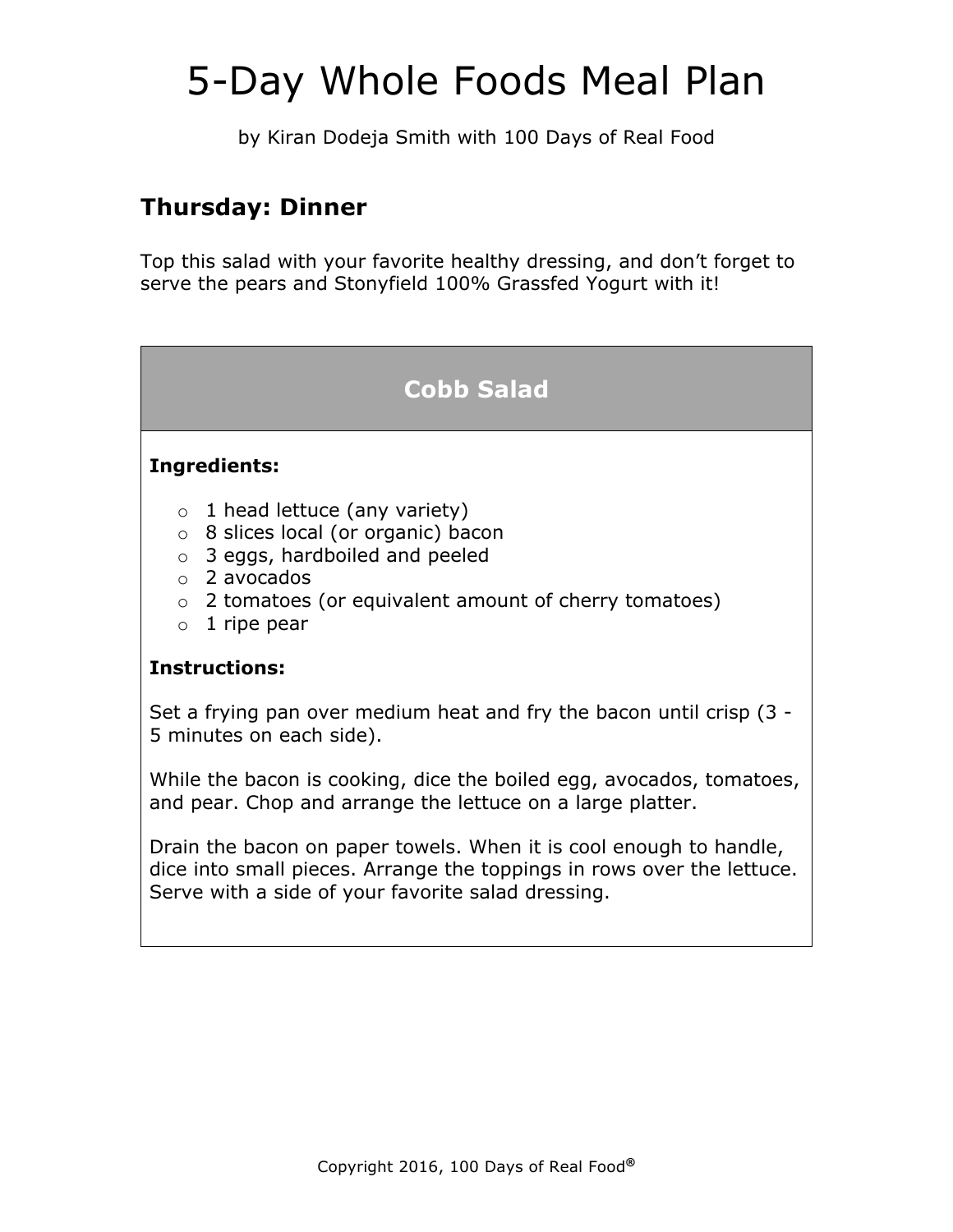by Kiran Dodeja Smith with 100 Days of Real Food

## **Thursday: Dinner**

Top this salad with your favorite healthy dressing, and don't forget to serve the pears and Stonyfield 100% Grassfed Yogurt with it!

## **Cobb Salad**

#### **Ingredients:**

- $\circ$  1 head lettuce (any variety)
- o 8 slices local (or organic) bacon
- o 3 eggs, hardboiled and peeled
- o 2 avocados
- o 2 tomatoes (or equivalent amount of cherry tomatoes)
- $\circ$  1 ripe pear

#### **Instructions:**

Set a frying pan over medium heat and fry the bacon until crisp (3 - 5 minutes on each side).

While the bacon is cooking, dice the boiled egg, avocados, tomatoes, and pear. Chop and arrange the lettuce on a large platter.

Drain the bacon on paper towels. When it is cool enough to handle, dice into small pieces. Arrange the toppings in rows over the lettuce. Serve with a side of your favorite salad dressing.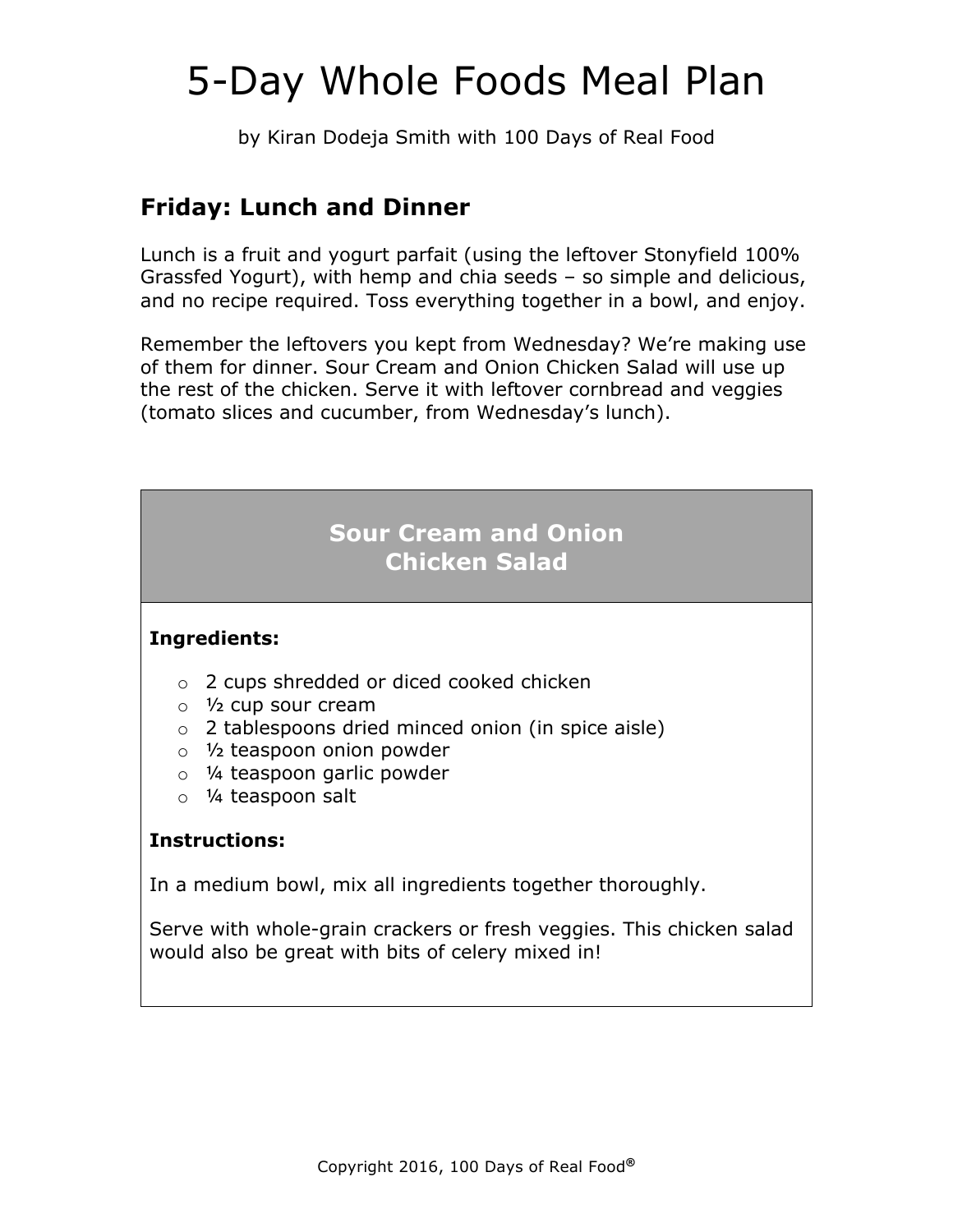by Kiran Dodeja Smith with 100 Days of Real Food

## **Friday: Lunch and Dinner**

Lunch is a fruit and yogurt parfait (using the leftover Stonyfield 100% Grassfed Yogurt), with hemp and chia seeds – so simple and delicious, and no recipe required. Toss everything together in a bowl, and enjoy.

Remember the leftovers you kept from Wednesday? We're making use of them for dinner. Sour Cream and Onion Chicken Salad will use up the rest of the chicken. Serve it with leftover cornbread and veggies (tomato slices and cucumber, from Wednesday's lunch).

## **Sour Cream and Onion Chicken Salad**

#### **Ingredients:**

- o 2 cups shredded or diced cooked chicken
- o ½ cup sour cream
- o 2 tablespoons dried minced onion (in spice aisle)
- o ½ teaspoon onion powder
- o ¼ teaspoon garlic powder
- o ¼ teaspoon salt

#### **Instructions:**

In a medium bowl, mix all ingredients together thoroughly.

Serve with whole-grain crackers or fresh veggies. This chicken salad would also be great with bits of celery mixed in!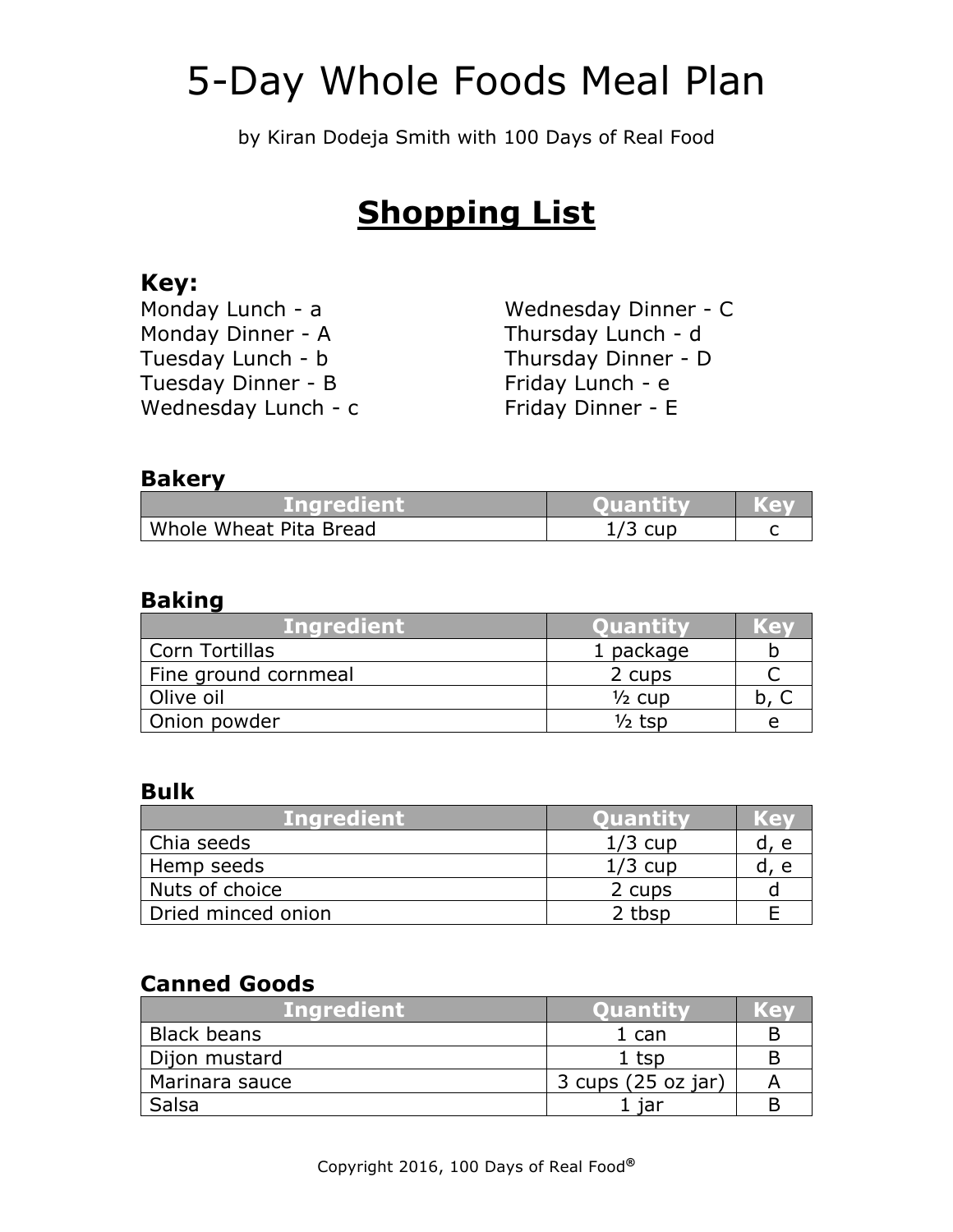by Kiran Dodeja Smith with 100 Days of Real Food

## **Shopping List**

### **Key:**

| Monday Lunch - a    |  |
|---------------------|--|
| Monday Dinner - A   |  |
| Tuesday Lunch - b   |  |
| Tuesday Dinner - B  |  |
| Wednesday Lunch - c |  |

Wednesday Dinner - C Thursday Lunch - d Thursday Dinner - D Friday Lunch - e Friday Dinner - E

### **Bakery**

| <b>Mindredient</b>     | <b>Quantity</b> | Kev |
|------------------------|-----------------|-----|
| Whole Wheat Pita Bread | $1/3$ cup       |     |

### **Baking**

| <b>Ingredient</b>    | <b>Ouantity</b>   | Ke |
|----------------------|-------------------|----|
| Corn Tortillas       | 1 package         |    |
| Fine ground cornmeal | 2 cups            |    |
| Olive oil            | $\frac{1}{2}$ cup |    |
| Onion powder         | ½ tsp             |    |

### **Bulk**

| <b>Ingredient</b>  | <b>Ouantity</b> | $\mathcal{L}$ |
|--------------------|-----------------|---------------|
| Chia seeds         | $1/3$ cup       | e             |
| Hemp seeds         | $1/3$ cup       |               |
| Nuts of choice     | 2 cups          |               |
| Dried minced onion | 2 tbsp          |               |

### **Canned Goods**

| <b>Inaredient</b> ' | <b>Ouantity</b>    | ≘ |
|---------------------|--------------------|---|
| <b>Black beans</b>  | $1$ can            |   |
| Dijon mustard       | 1 tsp              |   |
| Marinara sauce      | 3 cups (25 oz jar) |   |
| Salsa               |                    |   |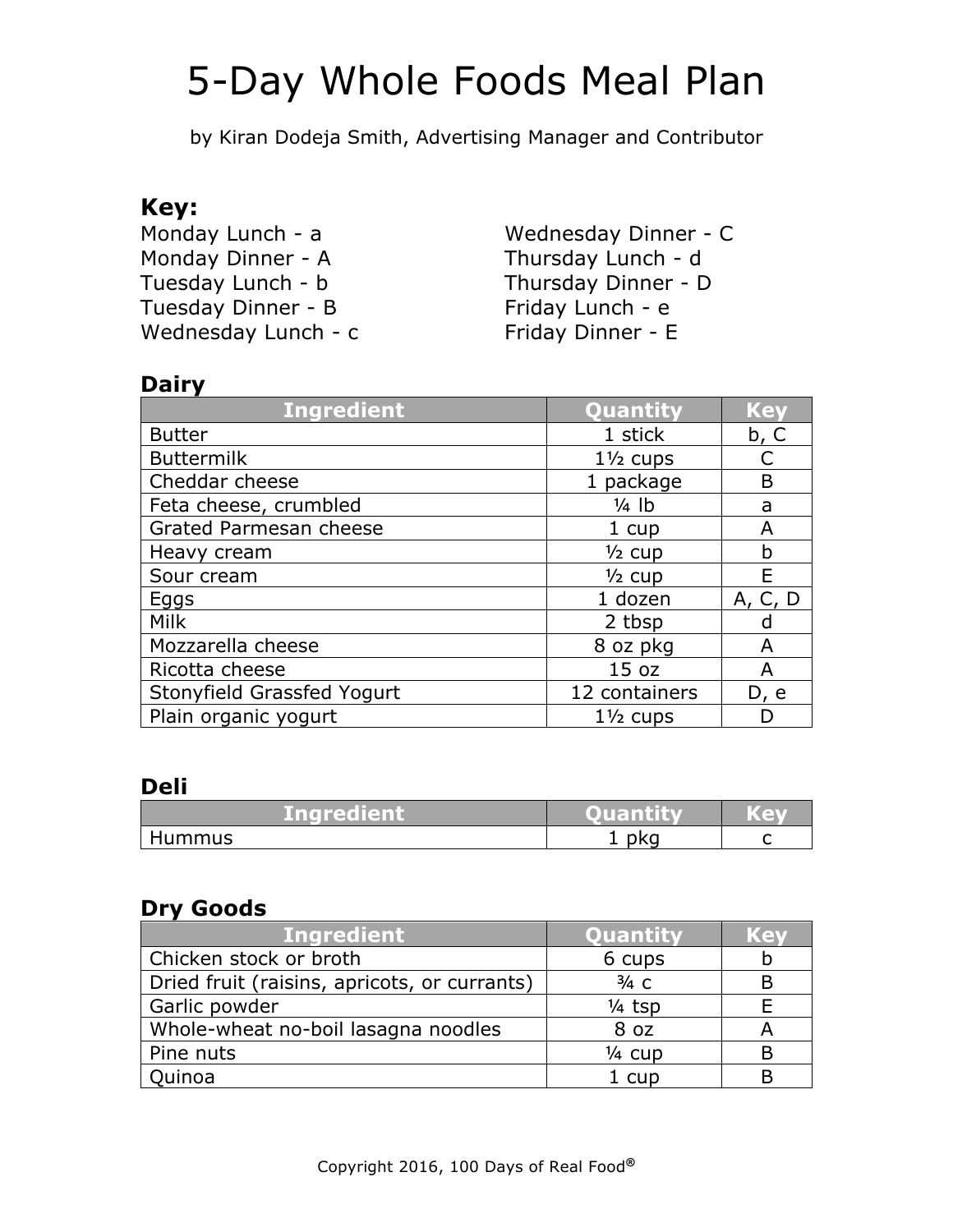by Kiran Dodeja Smith, Advertising Manager and Contributor

### **Key:**

Monday Lunch - a Monday Dinner - A Tuesday Lunch - b Tuesday Dinner - B Wednesday Lunch - c

Wednesday Dinner - C Thursday Lunch - d Thursday Dinner - D Friday Lunch - e Friday Dinner - E

### **Dairy**

| <b>Ingredient</b>          | Quantity            | <b>Key</b> |
|----------------------------|---------------------|------------|
| <b>Butter</b>              | 1 stick             | b, C       |
| <b>Buttermilk</b>          | $1\frac{1}{2}$ cups |            |
| Cheddar cheese             | 1 package           | B          |
| Feta cheese, crumbled      | $\frac{1}{4}$ lb    | a          |
| Grated Parmesan cheese     | 1 cup               | Α          |
| Heavy cream                | $\frac{1}{2}$ cup   | b          |
| Sour cream                 | $\frac{1}{2}$ cup   | E          |
| Eggs                       | 1 dozen             | A, C, D    |
| Milk                       | 2 tbsp              | d          |
| Mozzarella cheese          | 8 oz pkg            | A          |
| Ricotta cheese             | 15 <sub>oz</sub>    | A          |
| Stonyfield Grassfed Yogurt | 12 containers       | D, e       |
| Plain organic yogurt       | $1\frac{1}{2}$ cups |            |

### **Deli**

| /Ingredient | Ouantity | . GV |
|-------------|----------|------|
| Hummus      | nko      |      |

### **Dry Goods**

| <b>Ingredient</b>                            | Quantity          | Ket |
|----------------------------------------------|-------------------|-----|
| Chicken stock or broth                       | 6 cups            |     |
| Dried fruit (raisins, apricots, or currants) | $3/4$ C           |     |
| Garlic powder                                | $\frac{1}{4}$ tsp |     |
| Whole-wheat no-boil lasagna noodles          | 8 oz              | А   |
| Pine nuts                                    | $\frac{1}{4}$ cup |     |
| Quinoa                                       | 1 cup             |     |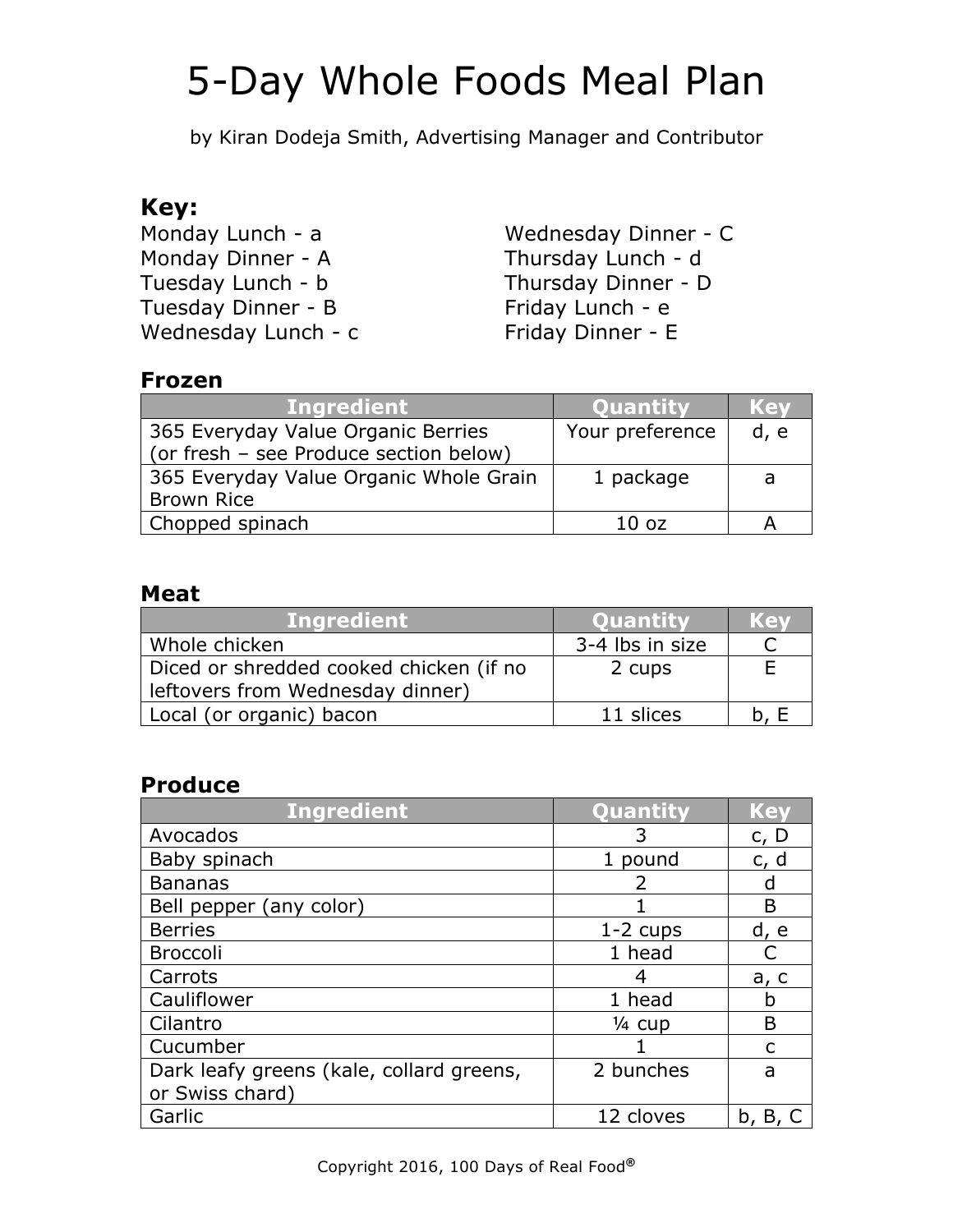by Kiran Dodeja Smith, Advertising Manager and Contributor

### **Key:**

Monday Lunch - a Monday Dinner - A Tuesday Lunch - b Tuesday Dinner - B Wednesday Lunch - c

Wednesday Dinner - C Thursday Lunch - d Thursday Dinner - D Friday Lunch - e Friday Dinner - E

### **Frozen**

| <b>Ingredient</b>                      | <b>Ouantity</b>  | Kel  |
|----------------------------------------|------------------|------|
| 365 Everyday Value Organic Berries     | Your preference  | d, e |
| (or fresh - see Produce section below) |                  |      |
| 365 Everyday Value Organic Whole Grain | 1 package        | a    |
| <b>Brown Rice</b>                      |                  |      |
| Chopped spinach                        | 10 <sub>oz</sub> |      |

### **Meat**

| <b>Ingredient</b>                                                           | <b>Ouantity</b> | KOV |
|-----------------------------------------------------------------------------|-----------------|-----|
| Whole chicken                                                               | 3-4 lbs in size |     |
| Diced or shredded cooked chicken (if no<br>leftovers from Wednesday dinner) | 2 cups          |     |
| Local (or organic) bacon                                                    | 11 slices       |     |

### **Produce**

| <b>Ingredient</b>                        | Quantity          | <b>Key</b> |
|------------------------------------------|-------------------|------------|
| Avocados                                 |                   | c, D       |
| Baby spinach                             | 1 pound           | c, d       |
| <b>Bananas</b>                           |                   | d          |
| Bell pepper (any color)                  |                   | B          |
| <b>Berries</b>                           | $1-2$ cups        | d, e       |
| <b>Broccoli</b>                          | 1 head            |            |
| Carrots                                  | 4                 | a, c       |
| Cauliflower                              | 1 head            | h          |
| Cilantro                                 | $\frac{1}{4}$ cup | B          |
| Cucumber                                 |                   | C          |
| Dark leafy greens (kale, collard greens, | 2 bunches         | a          |
| or Swiss chard)                          |                   |            |
| Garlic                                   | 12 cloves         | b, B,      |